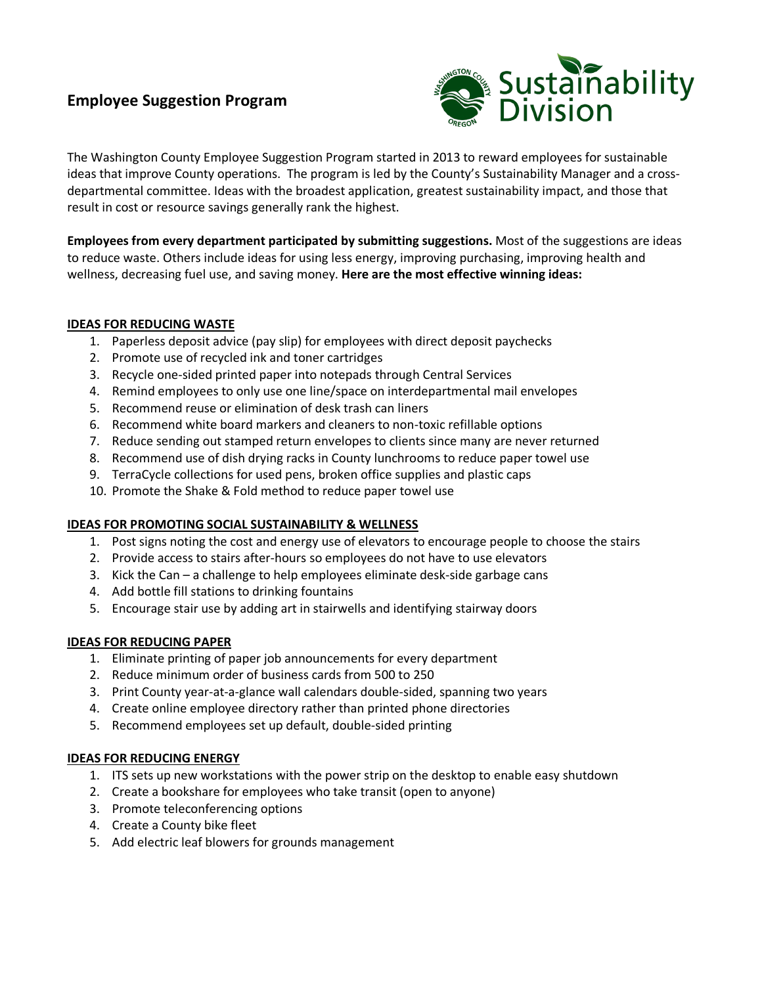# **Employee Suggestion Program**



The Washington County Employee Suggestion Program started in 2013 to reward employees for sustainable ideas that improve County operations. The program is led by the County's Sustainability Manager and a crossdepartmental committee. Ideas with the broadest application, greatest sustainability impact, and those that result in cost or resource savings generally rank the highest.

**Employees from every department participated by submitting suggestions.** Most of the suggestions are ideas to reduce waste. Others include ideas for using less energy, improving purchasing, improving health and wellness, decreasing fuel use, and saving money. **Here are the most effective winning ideas:**

# **IDEAS FOR REDUCING WASTE**

- 1. Paperless deposit advice (pay slip) for employees with direct deposit paychecks
- 2. Promote use of recycled ink and toner cartridges
- 3. Recycle one-sided printed paper into notepads through Central Services
- 4. Remind employees to only use one line/space on interdepartmental mail envelopes
- 5. Recommend reuse or elimination of desk trash can liners
- 6. Recommend white board markers and cleaners to non-toxic refillable options
- 7. Reduce sending out stamped return envelopes to clients since many are never returned
- 8. Recommend use of dish drying racks in County lunchrooms to reduce paper towel use
- 9. TerraCycle collections for used pens, broken office supplies and plastic caps
- 10. Promote the Shake & Fold method to reduce paper towel use

# **IDEAS FOR PROMOTING SOCIAL SUSTAINABILITY & WELLNESS**

- 1. Post signs noting the cost and energy use of elevators to encourage people to choose the stairs
- 2. Provide access to stairs after-hours so employees do not have to use elevators
- 3. Kick the Can a challenge to help employees eliminate desk-side garbage cans
- 4. Add bottle fill stations to drinking fountains
- 5. Encourage stair use by adding art in stairwells and identifying stairway doors

# **IDEAS FOR REDUCING PAPER**

- 1. Eliminate printing of paper job announcements for every department
- 2. Reduce minimum order of business cards from 500 to 250
- 3. Print County year-at-a-glance wall calendars double-sided, spanning two years
- 4. Create online employee directory rather than printed phone directories
- 5. Recommend employees set up default, double-sided printing

# **IDEAS FOR REDUCING ENERGY**

- 1. ITS sets up new workstations with the power strip on the desktop to enable easy shutdown
- 2. Create a bookshare for employees who take transit (open to anyone)
- 3. Promote teleconferencing options
- 4. Create a County bike fleet
- 5. Add electric leaf blowers for grounds management